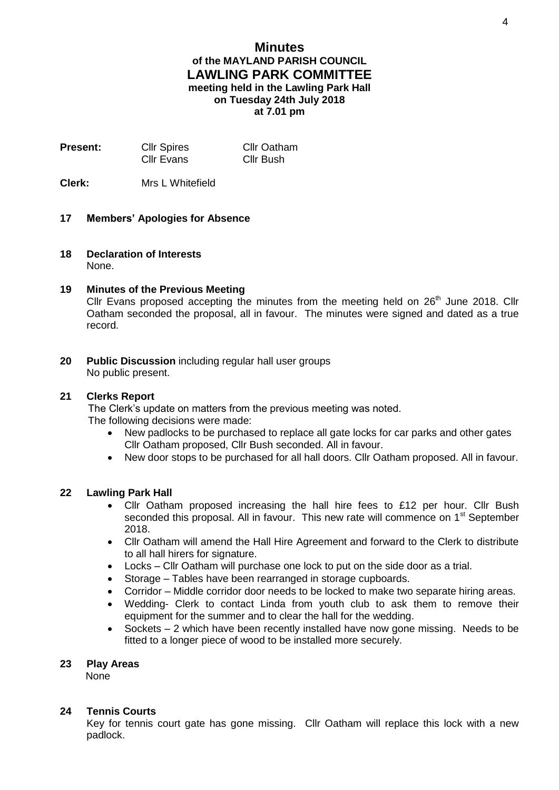# **Minutes of the MAYLAND PARISH COUNCIL LAWLING PARK COMMITTEE meeting held in the Lawling Park Hall on Tuesday 24th July 2018 at 7.01 pm**

**Present:** Cllr Spires Cllr Oatham<br>Cllr Evans Cllr Bush Cllr Evans

**Clerk:** Mrs L Whitefield

### **17 Members' Apologies for Absence**

**18 Declaration of Interests** None.

## **19 Minutes of the Previous Meeting**

Cllr Evans proposed accepting the minutes from the meeting held on  $26<sup>th</sup>$  June 2018. Cllr Oatham seconded the proposal, all in favour. The minutes were signed and dated as a true record.

**20 Public Discussion** including regular hall user groups No public present.

### **21 Clerks Report**

 The Clerk's update on matters from the previous meeting was noted. The following decisions were made:

- New padlocks to be purchased to replace all gate locks for car parks and other gates Cllr Oatham proposed, Cllr Bush seconded. All in favour.
- New door stops to be purchased for all hall doors. Cllr Oatham proposed. All in favour.

## **22 Lawling Park Hall**

- Cllr Oatham proposed increasing the hall hire fees to £12 per hour. Cllr Bush seconded this proposal. All in favour. This new rate will commence on 1<sup>st</sup> September 2018.
- Cllr Oatham will amend the Hall Hire Agreement and forward to the Clerk to distribute to all hall hirers for signature.
- Locks Cllr Oatham will purchase one lock to put on the side door as a trial.
- Storage Tables have been rearranged in storage cupboards.
- Corridor Middle corridor door needs to be locked to make two separate hiring areas.
- Wedding- Clerk to contact Linda from youth club to ask them to remove their equipment for the summer and to clear the hall for the wedding.
- Sockets 2 which have been recently installed have now gone missing. Needs to be fitted to a longer piece of wood to be installed more securely.

#### **23 Play Areas**

None

## **24 Tennis Courts**

Key for tennis court gate has gone missing. Cllr Oatham will replace this lock with a new padlock.